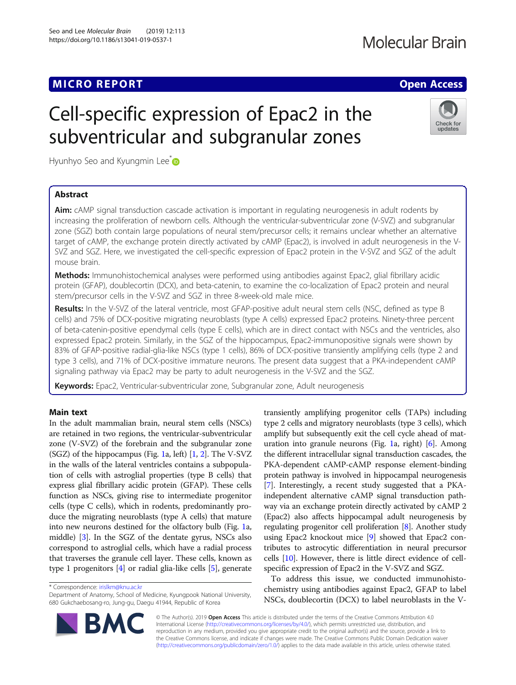## **MICRO REPORT CONSTRUCTION CONTROL**

# **Molecular Brain**

# Check for updates

Hyunhyo Seo and Kyungmin Lee<sup>\*</sup>

### Abstract

Aim: cAMP signal transduction cascade activation is important in regulating neurogenesis in adult rodents by increasing the proliferation of newborn cells. Although the ventricular-subventricular zone (V-SVZ) and subgranular zone (SGZ) both contain large populations of neural stem/precursor cells; it remains unclear whether an alternative target of cAMP, the exchange protein directly activated by cAMP (Epac2), is involved in adult neurogenesis in the V-SVZ and SGZ. Here, we investigated the cell-specific expression of Epac2 protein in the V-SVZ and SGZ of the adult mouse brain.

Methods: Immunohistochemical analyses were performed using antibodies against Epac2, glial fibrillary acidic protein (GFAP), doublecortin (DCX), and beta-catenin, to examine the co-localization of Epac2 protein and neural stem/precursor cells in the V-SVZ and SGZ in three 8-week-old male mice.

Results: In the V-SVZ of the lateral ventricle, most GFAP-positive adult neural stem cells (NSC, defined as type B cells) and 75% of DCX-positive migrating neuroblasts (type A cells) expressed Epac2 proteins. Ninety-three percent of beta-catenin-positive ependymal cells (type E cells), which are in direct contact with NSCs and the ventricles, also expressed Epac2 protein. Similarly, in the SGZ of the hippocampus, Epac2-immunopositive signals were shown by 83% of GFAP-positive radial-glia-like NSCs (type 1 cells), 86% of DCX-positive transiently amplifying cells (type 2 and type 3 cells), and 71% of DCX-positive immature neurons. The present data suggest that a PKA-independent cAMP signaling pathway via Epac2 may be party to adult neurogenesis in the V-SVZ and the SGZ.

Keywords: Epac2, Ventricular-subventricular zone, Subgranular zone, Adult neurogenesis

Cell-specific expression of Epac2 in the

subventricular and subgranular zones

### Main text

In the adult mammalian brain, neural stem cells (NSCs) are retained in two regions, the ventricular-subventricular zone (V-SVZ) of the forebrain and the subgranular zone (SGZ) of the hippocampus (Fig. [1a](#page-1-0), left)  $[1, 2]$  $[1, 2]$  $[1, 2]$  $[1, 2]$  $[1, 2]$ . The V-SVZ in the walls of the lateral ventricles contains a subpopulation of cells with astroglial properties (type B cells) that express glial fibrillary acidic protein (GFAP). These cells function as NSCs, giving rise to intermediate progenitor cells (type C cells), which in rodents, predominantly produce the migrating neuroblasts (type A cells) that mature into new neurons destined for the olfactory bulb (Fig. [1](#page-1-0)a, middle) [\[3](#page-2-0)]. In the SGZ of the dentate gyrus, NSCs also correspond to astroglial cells, which have a radial process that traverses the granule cell layer. These cells, known as type 1 progenitors [[4\]](#page-2-0) or radial glia-like cells [\[5](#page-2-0)], generate

\* Correspondence: [irislkm@knu.ac.kr](mailto:irislkm@knu.ac.kr)

Department of Anatomy, School of Medicine, Kyungpook National University, 680 Gukchaebosang-ro, Jung-gu, Daegu 41944, Republic of Korea



To address this issue, we conducted immunohistochemistry using antibodies against Epac2, GFAP to label NSCs, doublecortin (DCX) to label neuroblasts in the V-



© The Author(s). 2019 Open Access This article is distributed under the terms of the Creative Commons Attribution 4.0 International License [\(http://creativecommons.org/licenses/by/4.0/](http://creativecommons.org/licenses/by/4.0/)), which permits unrestricted use, distribution, and reproduction in any medium, provided you give appropriate credit to the original author(s) and the source, provide a link to the Creative Commons license, and indicate if changes were made. The Creative Commons Public Domain Dedication waiver [\(http://creativecommons.org/publicdomain/zero/1.0/](http://creativecommons.org/publicdomain/zero/1.0/)) applies to the data made available in this article, unless otherwise stated.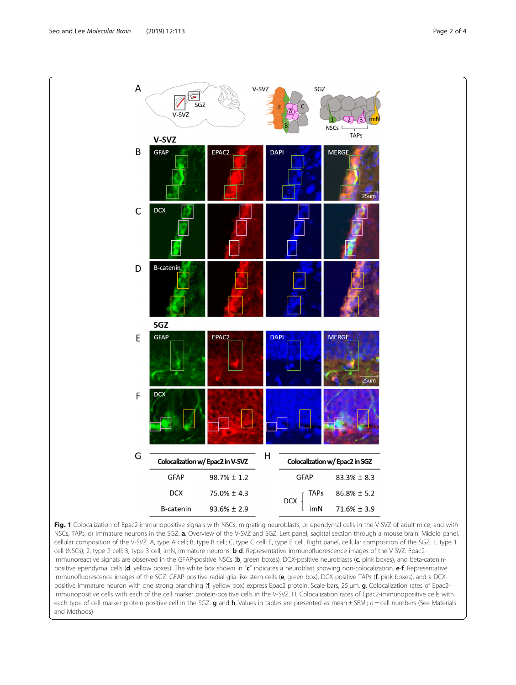<span id="page-1-0"></span>

Fig. 1 Colocalization of Epac2-immunopositive signals with NSCs, migrating neuroblasts, or ependymal cells in the V-SVZ of adult mice; and with NSCs, TAPs, or immature neurons in the SGZ. a. Overview of the V-SVZ and SGZ. Left panel, sagittal section through a mouse brain. Middle panel, cellular composition of the V-SVZ. A, type A cell; B, type B cell; C, type C cell; E, type E cell. Right panel, cellular composition of the SGZ. 1, type 1 cell (NSCs); 2, type 2 cell; 3, type 3 cell; imN, immature neurons. **b-d**. Representative immunofluorescence images of the V-SVZ. Epac2immunoreactive signals are observed in the GFAP-positive NSCs (b, green boxes), DCX-positive neuroblasts (c, pink boxes), and beta-cateninpositive ependymal cells (d, yellow boxes). The white box shown in "c" indicates a neuroblast showing non-colocalization. e-f. Representative immunofluorescence images of the SGZ. GFAP-positive radial glia-like stem cells (e, green box), DCX-positive TAPs (f, pink boxes), and a DCXpositive immature neuron with one strong branching (f, yellow box) express Epac2 protein. Scale bars, 25 µm. g. Colocalization rates of Epac2immunopositive cells with each of the cell marker protein-positive cells in the V-SVZ. H. Colocalization rates of Epac2-immunopositive cells with each type of cell marker protein-positive cell in the SGZ. g and h, Values in tables are presented as mean  $\pm$  SEM.;  $n =$  cell numbers (See Materials and Methods)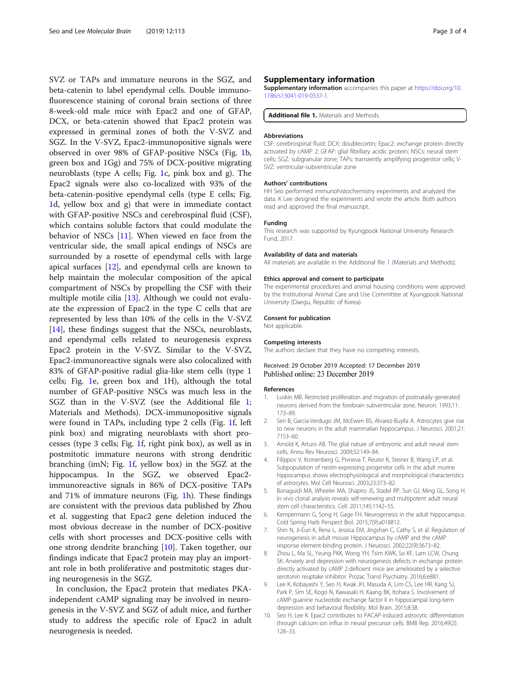<span id="page-2-0"></span>SVZ or TAPs and immature neurons in the SGZ, and beta-catenin to label ependymal cells. Double immunofluorescence staining of coronal brain sections of three 8-week-old male mice with Epac2 and one of GFAP, DCX, or beta-catenin showed that Epac2 protein was expressed in germinal zones of both the V-SVZ and SGZ. In the V-SVZ, Epac2-immunopositive signals were observed in over 98% of GFAP-positive NSCs (Fig. [1](#page-1-0)b, green box and 1Gg) and 75% of DCX-positive migrating neuroblasts (type A cells; Fig. [1c](#page-1-0), pink box and g). The Epac2 signals were also co-localized with 93% of the beta-catenin-positive ependymal cells (type E cells; Fig. [1d](#page-1-0), yellow box and g) that were in immediate contact with GFAP-positive NSCs and cerebrospinal fluid (CSF), which contains soluble factors that could modulate the behavior of NSCs [[11](#page-3-0)]. When viewed en face from the ventricular side, the small apical endings of NSCs are surrounded by a rosette of ependymal cells with large apical surfaces [\[12](#page-3-0)], and ependymal cells are known to help maintain the molecular composition of the apical compartment of NSCs by propelling the CSF with their multiple motile cilia [[13\]](#page-3-0). Although we could not evaluate the expression of Epac2 in the type C cells that are represented by less than 10% of the cells in the V-SVZ [[14\]](#page-3-0), these findings suggest that the NSCs, neuroblasts, and ependymal cells related to neurogenesis express Epac2 protein in the V-SVZ. Similar to the V-SVZ, Epac2-immunoreactive signals were also colocalized with 83% of GFAP-positive radial glia-like stem cells (type 1 cells; Fig. [1](#page-1-0)e, green box and 1H), although the total number of GFAP-positive NSCs was much less in the SGZ than in the V-SVZ (see the Additional file 1; Materials and Methods). DCX-immunopositive signals were found in TAPs, including type 2 cells (Fig. [1f](#page-1-0), left pink box) and migrating neuroblasts with short processes (type 3 cells; Fig. [1f](#page-1-0), right pink box), as well as in postmitotic immature neurons with strong dendritic branching (imN; Fig. [1f](#page-1-0), yellow box) in the SGZ at the hippocampus. In the SGZ, we observed Epac2 immunoreactive signals in 86% of DCX-positive TAPs and 71% of immature neurons (Fig. [1](#page-1-0)h). These findings are consistent with the previous data published by Zhou et al. suggesting that Epac2 gene deletion induced the most obvious decrease in the number of DCX-positive cells with short processes and DCX-positive cells with one strong dendrite branching [10]. Taken together, our findings indicate that Epac2 protein may play an important role in both proliferative and postmitotic stages during neurogenesis in the SGZ.

In conclusion, the Epac2 protein that mediates PKAindependent cAMP signaling may be involved in neurogenesis in the V-SVZ and SGZ of adult mice, and further study to address the specific role of Epac2 in adult neurogenesis is needed.

#### Supplementary information

Supplementary information accompanies this paper at [https://doi.org/10.](https://doi.org/10.1186/s13041-019-0537-1) [1186/s13041-019-0537-1.](https://doi.org/10.1186/s13041-019-0537-1)

Additional file 1. Materials and Methods.

#### Abbreviations

CSF: cerebrospinal fluid; DCX: doublecortin; Epac2: exchange protein directly activated by cAMP 2; GFAP: glial fibrillary acidic protein; NSCs: neural stem cells; SGZ: subgranular zone; TAPs: transiently amplifying progenitor cells; V-SVZ: ventricular-subventricular zone

#### Authors' contributions

HH Seo performed immunohistochemistry experiments and analyzed the data. K Lee designed the experiments and wrote the article. Both authors read and approved the final manuscript.

#### Funding

This research was supported by Kyungpook National University Research Fund, 2017.

#### Availability of data and materials

All materials are available in the Additional file 1 (Materials and Methods).

#### Ethics approval and consent to participate

The experimental procedures and animal housing conditions were approved by the Institutional Animal Care and Use Committee at Kyungpook National University (Daegu, Republic of Korea).

#### Consent for publication

Not applicable.

#### Competing interests

The authors declare that they have no competing interests.

#### Received: 29 October 2019 Accepted: 17 December 2019 Published online: 23 December 2019

#### References

- 1. Luskin MB. Restricted proliferation and migration of postnatally generated neurons derived from the forebrain subventricular zone. Neuron. 1993;11: 173–89.
- 2. Seri B, Garcia-Verdugo JM, McEwen BS, Alvarez-Buylla A. Astrocytes give rise to new neurons in the adult mammalian hippocampus. J Neurosci. 2001;21: 7153–60.
- 3. Arnold K, Arturo AB. The glial nature of embryonic and adult neural stem cells. Annu Rev Neurosci. 2009;32:149–84.
- 4. Filippov V, Kronenberg G, Pivneva T, Reuter K, Steiner B, Wang LP, et al. Subpopulation of nestin-expressing progenitor cells in the adult murine hippocampus shows electrophysiological and morphological characteristics of astrocytes. Mol Cell Neurosci. 2003;23:373–82.
- 5. Bonaguidi MA, Wheeler MA, Shapiro JS, Stadel RP, Sun GJ, Ming GL, Song H. In vivo clonal analysis reveals self-renewing and multipotent adult neural stem cell characteristics. Cell. 2011;145:1142–55.
- 6. Kempermann G, Song H, Gage FH. Neurogenesis in the adult hippocampus. Cold Spring Harb Perspect Biol. 2015;7(9):a018812.
- 7. Shin N, Ji-Eun K, Rena L, Jessica EM, Jingshan C, Cathy S, et al. Regulation of neurogenesis in adult mouse Hippocampus by cAMP and the cAMP response element-binding protein. J Neurosci. 2002;22(9):3673–82.
- 8. Zhou L, Ma SL, Yeung PKK, Wong YH, Tsim KWK, So KF, Lam LCW, Chung SK. Anxiety and depression with neurogenesis defects in exchange protein directly activated by cAMP 2-deficient mice are ameliorated by a selective serotonin reuptake inhibitor. Prozac Transl Psychiatry. 2016;6:e881.
- 9. Lee K, Kobayashi Y, Seo H, Kwak JH, Masuda A, Lim CS, Lee HR, Kang SJ, Park P, Sim SE, Kogo N, Kawasaki H, Kaang BK, Itohara S. Involvement of cAMP-guanine nucleotide exchange factor II in hippocampal long-term depression and behavioral flexibility. Mol Brain. 2015;8:38.
- 10. Seo H, Lee K. Epac2 contributes to PACAP-induced astrocytic differentiation through calcium ion influx in neural precursor cells. BMB Rep. 2016;49(2): 128–33.